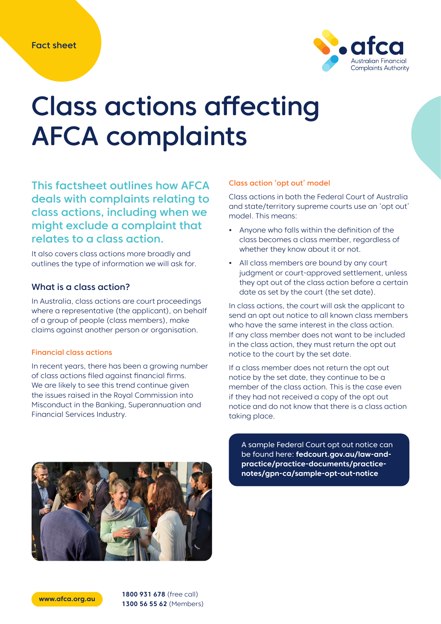

# Class actions affecting AFCA complaints

This factsheet outlines how AFCA deals with complaints relating to class actions, including when we might exclude a complaint that relates to a class action.

It also covers class actions more broadly and outlines the type of information we will ask for.

## What is a class action?

In Australia, class actions are court proceedings where a representative (the applicant), on behalf of a group of people (class members), make claims against another person or organisation.

### Financial class actions

In recent years, there has been a growing number of class actions filed against financial firms. We are likely to see this trend continue given the issues raised in the Royal Commission into Misconduct in the Banking, Superannuation and Financial Services Industry.

## Class action 'opt out' model

Class actions in both the Federal Court of Australia and state/territory supreme courts use an 'opt out' model. This means:

- **•** Anyone who falls within the definition of the class becomes a class member, regardless of whether they know about it or not.
- **•** All class members are bound by any court judgment or court-approved settlement, unless they opt out of the class action before a certain date as set by the court (the set date).

In class actions, the court will ask the applicant to send an opt out notice to all known class members who have the same interest in the class action. If any class member does not want to be included in the class action, they must return the opt out notice to the court by the set date.

If a class member does not return the opt out notice by the set date, they continue to be a member of the class action. This is the case even if they had not received a copy of the opt out notice and do not know that there is a class action taking place.



A sample Federal Court opt out notice can be found here: **fedcourt.gov.au/law-andpractice/practice-documents/practicenotes/gpn-ca/sample-opt-out-notice**

**www.afca.org.au 1800 931 678** (free call) **1300 56 55 62** (Members)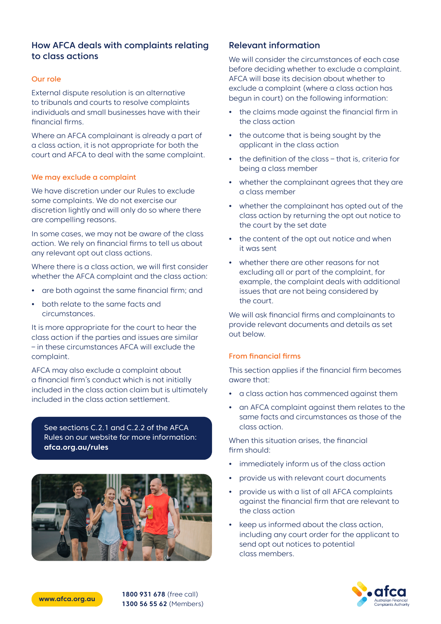# How AFCA deals with complaints relating to class actions

### Our role

External dispute resolution is an alternative to tribunals and courts to resolve complaints individuals and small businesses have with their financial firms.

Where an AFCA complainant is already a part of a class action, it is not appropriate for both the court and AFCA to deal with the same complaint.

#### We may exclude a complaint

We have discretion under our Rules to exclude some complaints. We do not exercise our discretion lightly and will only do so where there are compelling reasons.

In some cases, we may not be aware of the class action. We rely on financial firms to tell us about any relevant opt out class actions.

Where there is a class action, we will first consider whether the AFCA complaint and the class action:

- **•** are both against the same financial firm; and
- **•** both relate to the same facts and circumstances.

It is more appropriate for the court to hear the class action if the parties and issues are similar – in these circumstances AFCA will exclude the complaint.

AFCA may also exclude a complaint about a financial firm's conduct which is not initially included in the class action claim but is ultimately included in the class action settlement.

See sections C.2.1 and C.2.2 of the AFCA Rules on our website for more information: **afca.org.au/rules**



# Relevant information

We will consider the circumstances of each case before deciding whether to exclude a complaint. AFCA will base its decision about whether to exclude a complaint (where a class action has begun in court) on the following information:

- **•** the claims made against the financial firm in the class action
- **•** the outcome that is being sought by the applicant in the class action
- **•** the definition of the class that is, criteria for being a class member
- **•** whether the complainant agrees that they are a class member
- **•** whether the complainant has opted out of the class action by returning the opt out notice to the court by the set date
- **•** the content of the opt out notice and when it was sent
- **•** whether there are other reasons for not excluding all or part of the complaint, for example, the complaint deals with additional issues that are not being considered by the court.

We will ask financial firms and complainants to provide relevant documents and details as set out below.

#### From financial firms

This section applies if the financial firm becomes aware that:

- **•** a class action has commenced against them
- **•** an AFCA complaint against them relates to the same facts and circumstances as those of the class action.

When this situation arises, the financial firm should:

- **•** immediately inform us of the class action
- **•** provide us with relevant court documents
- **•** provide us with a list of all AFCA complaints against the financial firm that are relevant to the class action
- **•** keep us informed about the class action, including any court order for the applicant to send opt out notices to potential class members.



**www.afca.org.au 1800 931 678** (free call) **1300 56 55 62** (Members)